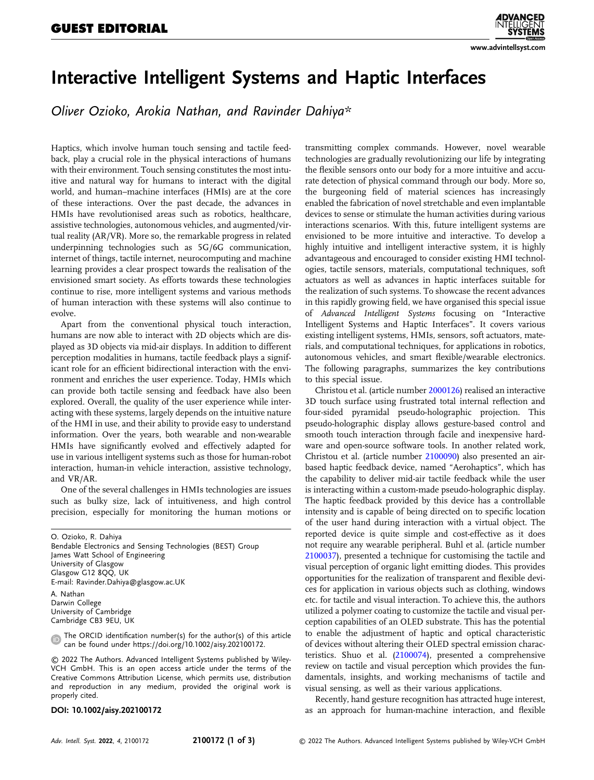## [www.advintellsyst.com](http://www.advintellsyst.com)

## Interactive Intelligent Systems and Haptic Interfaces

Oliver Ozioko, Arokia Nathan, and Ravinder Dahiya\*

Haptics, which involve human touch sensing and tactile feedback, play a crucial role in the physical interactions of humans with their environment. Touch sensing constitutes the most intuitive and natural way for humans to interact with the digital world, and human–machine interfaces (HMIs) are at the core of these interactions. Over the past decade, the advances in HMIs have revolutionised areas such as robotics, healthcare, assistive technologies, autonomous vehicles, and augmented/virtual reality (AR/VR). More so, the remarkable progress in related underpinning technologies such as 5G/6G communication, internet of things, tactile internet, neurocomputing and machine learning provides a clear prospect towards the realisation of the envisioned smart society. As efforts towards these technologies continue to rise, more intelligent systems and various methods of human interaction with these systems will also continue to evolve.

Apart from the conventional physical touch interaction, humans are now able to interact with 2D objects which are displayed as 3D objects via mid-air displays. In addition to different perception modalities in humans, tactile feedback plays a significant role for an efficient bidirectional interaction with the environment and enriches the user experience. Today, HMIs which can provide both tactile sensing and feedback have also been explored. Overall, the quality of the user experience while interacting with these systems, largely depends on the intuitive nature of the HMI in use, and their ability to provide easy to understand information. Over the years, both wearable and non-wearable HMIs have significantly evolved and effectively adapted for use in various intelligent systems such as those for human-robot interaction, human-in vehicle interaction, assistive technology, and VR/AR.

One of the several challenges in HMIs technologies are issues such as bulky size, lack of intuitiveness, and high control precision, especially for monitoring the human motions or

O. Ozioko, R. Dahiya Bendable Electronics and Sensing Technologies (BEST) Group James Watt School of Engineering University of Glasgow Glasgow G12 8QQ, UK E-mail: [Ravinder.Dahiya@glasgow.ac.UK](mailto:Ravinder.Dahiya@glasgow.ac.UK) A. Nathan Darwin College University of Cambridge Cambridge CB3 9EU, UK

The ORCID identification number(s) for the author(s) of this article  $\bullet$ can be found under<https://doi.org/10.1002/aisy.202100172>.

© 2022 The Authors. Advanced Intelligent Systems published by Wiley-VCH GmbH. This is an open access article under the terms of the [Creative Commons Attribution](http://creativecommons.org/licenses/by/4.0/) License, which permits use, distribution and reproduction in any medium, provided the original work is properly cited.

DOI: 10.1002/aisy.202100172

transmitting complex commands. However, novel wearable technologies are gradually revolutionizing our life by integrating the flexible sensors onto our body for a more intuitive and accurate detection of physical command through our body. More so, the burgeoning field of material sciences has increasingly enabled the fabrication of novel stretchable and even implantable devices to sense or stimulate the human activities during various interactions scenarios. With this, future intelligent systems are envisioned to be more intuitive and interactive. To develop a highly intuitive and intelligent interactive system, it is highly advantageous and encouraged to consider existing HMI technologies, tactile sensors, materials, computational techniques, soft actuators as well as advances in haptic interfaces suitable for the realization of such systems. To showcase the recent advances in this rapidly growing field, we have organised this special issue of Advanced Intelligent Systems focusing on "Interactive Intelligent Systems and Haptic Interfaces". It covers various existing intelligent systems, HMIs, sensors, soft actuators, materials, and computational techniques, for applications in robotics, autonomous vehicles, and smart flexible/wearable electronics. The following paragraphs, summarizes the key contributions to this special issue.

Christou et al. (article number [2000126](https://doi.org/10.1002/aisy.202000126)) realised an interactive 3D touch surface using frustrated total internal reflection and four-sided pyramidal pseudo-holographic projection. This pseudo-holographic display allows gesture-based control and smooth touch interaction through facile and inexpensive hardware and open-source software tools. In another related work, Christou et al. (article number [2100090](https://doi.org/10.1002/aisy.202100090)) also presented an airbased haptic feedback device, named "Aerohaptics", which has the capability to deliver mid-air tactile feedback while the user is interacting within a custom-made pseudo-holographic display. The haptic feedback provided by this device has a controllable intensity and is capable of being directed on to specific location of the user hand during interaction with a virtual object. The reported device is quite simple and cost-effective as it does not require any wearable peripheral. Buhl et al. (article number [2100037](https://doi.org/10.1002/aisy.202100037)), presented a technique for customising the tactile and visual perception of organic light emitting diodes. This provides opportunities for the realization of transparent and flexible devices for application in various objects such as clothing, windows etc. for tactile and visual interaction. To achieve this, the authors utilized a polymer coating to customize the tactile and visual perception capabilities of an OLED substrate. This has the potential to enable the adjustment of haptic and optical characteristic of devices without altering their OLED spectral emission characteristics. Shuo et al. ([2100074\)](https://doi.org/10.1002/aisy.202100074), presented a comprehensive review on tactile and visual perception which provides the fundamentals, insights, and working mechanisms of tactile and visual sensing, as well as their various applications.

Recently, hand gesture recognition has attracted huge interest, as an approach for human-machine interaction, and flexible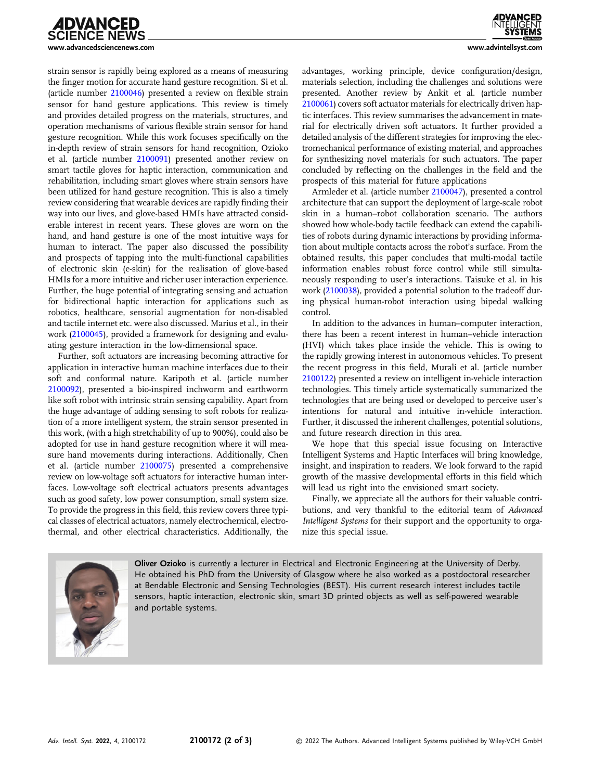

strain sensor is rapidly being explored as a means of measuring the finger motion for accurate hand gesture recognition. Si et al. (article number [2100046](https://doi.org/10.1002/aisy.202100046)) presented a review on flexible strain sensor for hand gesture applications. This review is timely and provides detailed progress on the materials, structures, and operation mechanisms of various flexible strain sensor for hand gesture recognition. While this work focuses specifically on the in-depth review of strain sensors for hand recognition, Ozioko et al. (article number [2100091\)](https://doi.org/10.1002/aisy.202100091) presented another review on smart tactile gloves for haptic interaction, communication and rehabilitation, including smart gloves where strain sensors have been utilized for hand gesture recognition. This is also a timely review considering that wearable devices are rapidly finding their way into our lives, and glove-based HMIs have attracted considerable interest in recent years. These gloves are worn on the hand, and hand gesture is one of the most intuitive ways for human to interact. The paper also discussed the possibility and prospects of tapping into the multi-functional capabilities of electronic skin (e-skin) for the realisation of glove-based HMIs for a more intuitive and richer user interaction experience. Further, the huge potential of integrating sensing and actuation for bidirectional haptic interaction for applications such as robotics, healthcare, sensorial augmentation for non-disabled and tactile internet etc. were also discussed. Marius et al., in their work [\(2100045\)](https://doi.org/10.1002/aisy.202100045), provided a framework for designing and evaluating gesture interaction in the low-dimensional space.

Further, soft actuators are increasing becoming attractive for application in interactive human machine interfaces due to their soft and conformal nature. Karipoth et al. (article number [2100092](https://doi.org/10.1002/aisy.202100092)), presented a bio-inspired inchworm and earthworm like soft robot with intrinsic strain sensing capability. Apart from the huge advantage of adding sensing to soft robots for realization of a more intelligent system, the strain sensor presented in this work, (with a high stretchability of up to 900%), could also be adopted for use in hand gesture recognition where it will measure hand movements during interactions. Additionally, Chen et al. (article number [2100075](https://doi.org/10.1002/aisy.202100075)) presented a comprehensive review on low-voltage soft actuators for interactive human interfaces. Low-voltage soft electrical actuators presents advantages such as good safety, low power consumption, small system size. To provide the progress in this field, this review covers three typical classes of electrical actuators, namely electrochemical, electrothermal, and other electrical characteristics. Additionally, the



advantages, working principle, device configuration/design, materials selection, including the challenges and solutions were presented. Another review by Ankit et al. (article number [2100061](https://doi.org/10.1002/aisy.202100061)) covers soft actuator materials for electrically driven haptic interfaces. This review summarises the advancement in material for electrically driven soft actuators. It further provided a detailed analysis of the different strategies for improving the electromechanical performance of existing material, and approaches for synthesizing novel materials for such actuators. The paper concluded by reflecting on the challenges in the field and the prospects of this material for future applications

Armleder et al. (article number [2100047](https://doi.org/10.1002/aisy.202100047)), presented a control architecture that can support the deployment of large-scale robot skin in a human–robot collaboration scenario. The authors showed how whole-body tactile feedback can extend the capabilities of robots during dynamic interactions by providing information about multiple contacts across the robot's surface. From the obtained results, this paper concludes that multi-modal tactile information enables robust force control while still simultaneously responding to user's interactions. Taisuke et al. in his work [\(2100038](https://doi.org/10.1002/aisy.202100038)), provided a potential solution to the tradeoff during physical human-robot interaction using bipedal walking control.

In addition to the advances in human–computer interaction, there has been a recent interest in human–vehicle interaction (HVI) which takes place inside the vehicle. This is owing to the rapidly growing interest in autonomous vehicles. To present the recent progress in this field, Murali et al. (article number [2100122](https://doi.org/10.1002/aisy.202100122)) presented a review on intelligent in-vehicle interaction technologies. This timely article systematically summarized the technologies that are being used or developed to perceive user's intentions for natural and intuitive in-vehicle interaction. Further, it discussed the inherent challenges, potential solutions, and future research direction in this area.

We hope that this special issue focusing on Interactive Intelligent Systems and Haptic Interfaces will bring knowledge, insight, and inspiration to readers. We look forward to the rapid growth of the massive developmental efforts in this field which will lead us right into the envisioned smart society.

Finally, we appreciate all the authors for their valuable contributions, and very thankful to the editorial team of Advanced Intelligent Systems for their support and the opportunity to organize this special issue.



Oliver Ozioko is currently a lecturer in Electrical and Electronic Engineering at the University of Derby. He obtained his PhD from the University of Glasgow where he also worked as a postdoctoral researcher at Bendable Electronic and Sensing Technologies (BEST). His current research interest includes tactile sensors, haptic interaction, electronic skin, smart 3D printed objects as well as self-powered wearable and portable systems.